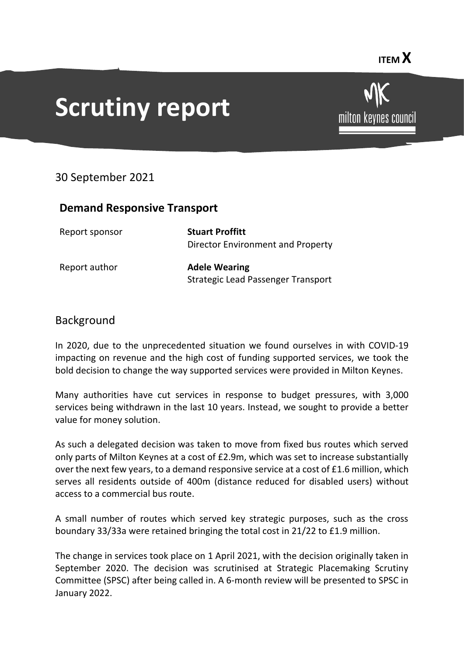# **Scrutiny report**



### 30 September 2021

### **Demand Responsive Transport**

| Report sponsor | <b>Stuart Proffitt</b>             |
|----------------|------------------------------------|
|                | Director Environment and Property  |
| Report author  | <b>Adele Wearing</b>               |
|                | Strategic Lead Passenger Transport |

#### Background

In 2020, due to the unprecedented situation we found ourselves in with COVID-19 impacting on revenue and the high cost of funding supported services, we took the bold decision to change the way supported services were provided in Milton Keynes.

Many authorities have cut services in response to budget pressures, with 3,000 services being withdrawn in the last 10 years. Instead, we sought to provide a better value for money solution.

As such a delegated decision was taken to move from fixed bus routes which served only parts of Milton Keynes at a cost of £2.9m, which was set to increase substantially over the next few years, to a demand responsive service at a cost of £1.6 million, which serves all residents outside of 400m (distance reduced for disabled users) without access to a commercial bus route.

A small number of routes which served key strategic purposes, such as the cross boundary 33/33a were retained bringing the total cost in 21/22 to £1.9 million.

The change in services took place on 1 April 2021, with the decision originally taken in September 2020. The decision was scrutinised at Strategic Placemaking Scrutiny Committee (SPSC) after being called in. A 6-month review will be presented to SPSC in January 2022.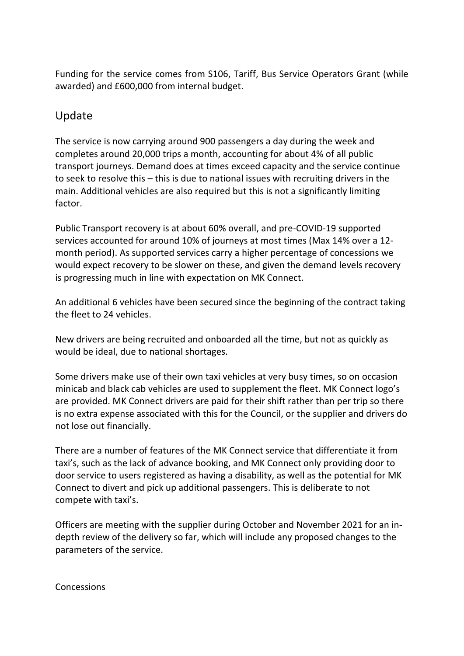Funding for the service comes from S106, Tariff, Bus Service Operators Grant (while awarded) and £600,000 from internal budget.

## Update

The service is now carrying around 900 passengers a day during the week and completes around 20,000 trips a month, accounting for about 4% of all public transport journeys. Demand does at times exceed capacity and the service continue to seek to resolve this – this is due to national issues with recruiting drivers in the main. Additional vehicles are also required but this is not a significantly limiting factor.

Public Transport recovery is at about 60% overall, and pre-COVID-19 supported services accounted for around 10% of journeys at most times (Max 14% over a 12 month period). As supported services carry a higher percentage of concessions we would expect recovery to be slower on these, and given the demand levels recovery is progressing much in line with expectation on MK Connect.

An additional 6 vehicles have been secured since the beginning of the contract taking the fleet to 24 vehicles.

New drivers are being recruited and onboarded all the time, but not as quickly as would be ideal, due to national shortages.

Some drivers make use of their own taxi vehicles at very busy times, so on occasion minicab and black cab vehicles are used to supplement the fleet. MK Connect logo's are provided. MK Connect drivers are paid for their shift rather than per trip so there is no extra expense associated with this for the Council, or the supplier and drivers do not lose out financially.

There are a number of features of the MK Connect service that differentiate it from taxi's, such as the lack of advance booking, and MK Connect only providing door to door service to users registered as having a disability, as well as the potential for MK Connect to divert and pick up additional passengers. This is deliberate to not compete with taxi's.

Officers are meeting with the supplier during October and November 2021 for an indepth review of the delivery so far, which will include any proposed changes to the parameters of the service.

**Concessions**